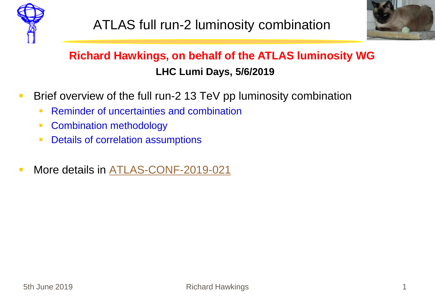



## **Richard Hawkings, on behalf of the ATLAS luminosity WG LHC Lumi Days, 5/6/2019**

- **Brief overview of the full run-2 13 TeV pp luminosity combination** 
	- **Reminder of uncertainties and combination**
	- **Combination methodology**
	- **Details of correlation assumptions**
- **More details in [ATLAS-CONF-2019-021](https://atlas.web.cern.ch/Atlas/GROUPS/PHYSICS/CONFNOTES/ATLAS-CONF-2019-021/)**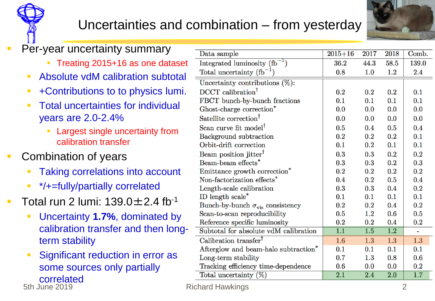## Uncertainties and combination – from yesterday



Comb.

139.0

2.4

 $0.1$ 

 $0.1$ 

 $0.0$ 

 $0.0$ 

 $0.4$ 

 $0.1$ 

 $0.1$ 

 $0.2$  $0.3$ 

 $0.2$ 

 $0.4$ 

 $0.2$ 

 $0.1$ 

 $0.2\,$ 

 $0.5$ 

 $0.2$ 

 $\equiv$ 

 $1.3\,$ 

 $0.1$ 

 $0.6$ 

 $0.2$ 

1.7

2018

58.5

 $1.2\,$ 

 $0.2$ 

 $0.1$ 

 $0.0$ 

 $0.0$ 

0.5

 $0.2\,$ 

 $0.1$ 

 $0.2$ 

 $0.2$ 

 $0.2$ 

 $0.5$ 

0.4

 $0.1$ 

0.4

 $0.6$ 

0.4

 $\overline{1.2}$ 

1.3

 $0.1$ 

0.8

 $0.0$ 

2.0

| $\mathbb{R}^n$ | Per-year uncertainty summary                                  |                                                                               |             |            |
|----------------|---------------------------------------------------------------|-------------------------------------------------------------------------------|-------------|------------|
|                |                                                               | Data sample                                                                   | $2015 + 16$ | 2017       |
|                | Treating 2015+16 as one dataset                               | Integrated luminosity $(h^{-1})$                                              | 36.2        | 44.3       |
|                | Absolute vdM calibration subtotal<br>п                        | Total uncertainty $(h^{-1})$                                                  | 0.8         | 1.0        |
|                |                                                               | Uncertainty contributions $(\%)$ :                                            |             |            |
|                | +Contributions to to physics lumi.<br>$\mathcal{L}$           | DCCT calibration <sup>†</sup>                                                 | 0.2         | 0.2        |
|                | <b>Total uncertainties for individual</b><br>×                | FBCT bunch-by-bunch fractions                                                 | 0.1         | 0.1        |
|                |                                                               | Ghost-charge correction*                                                      | 0.0         | 0.0        |
|                | years are 2.0-2.4%                                            | Satellite correction <sup>†</sup>                                             | 0.0         | 0.0        |
|                | Largest single uncertainty from                               | Scan curve fit model <sup><math>\uparrow</math></sup>                         | 0.5         | 0.4        |
|                | calibration transfer                                          | Background subtraction                                                        | 0.2         | 0.2        |
|                |                                                               | Orbit-drift correction                                                        | 0.1         | 0.2        |
| $\mathbb{R}^3$ | Combination of years                                          | Beam position jitter <sup>†</sup>                                             | 0.3         | 0.3        |
|                |                                                               | Beam-beam effects*                                                            | 0.3         | 0.3        |
|                | <b>Taking correlations into account</b>                       | Emittance growth correction <sup>*</sup>                                      | 0.2         | 0.2        |
|                | */+=fully/partially correlated<br><b>I</b>                    | Non-factorization effects <sup>*</sup>                                        | 0.4         | 0.2        |
|                |                                                               | Length-scale calibration                                                      | 0.3         | 0.3        |
| $\mathbf{r}$   | Total run 2 lumi: $139.0 \pm 2.4$ fb <sup>-1</sup>            | ID length scale*                                                              | 0.1<br>0.2  | 0.1<br>0.2 |
|                |                                                               | Bunch-by-bunch $\sigma_{\rm vis}$ consistency<br>Scan-to-scan reproducibility | 0.5         | 1.2        |
|                | Uncertainty 1.7%, dominated by<br>$\mathcal{L}_{\mathcal{A}}$ | Reference specific luminosity                                                 | 0.2         | $0.2\,$    |
|                | calibration transfer and then long-                           | Subtotal for absolute vdM calibration                                         | 1.1         | 1.5        |
|                | term stability                                                | Calibration transfer <sup>†</sup>                                             | 1.6         | 1.3        |
|                |                                                               | Afterglow and beam-halo subtraction <sup>*</sup>                              | 0.1         | 0.1        |
|                | Significant reduction in error as<br>п                        | Long-term stability                                                           | 0.7         | 1.3        |
|                | some sources only partially                                   | Tracking efficiency time-dependence                                           | 0.6         | 0.0        |
|                |                                                               | Total uncertainty $(\%)$                                                      | 2.1         | 2.4        |
|                | correlated<br>5th June 2019                                   | <b>Richard Hawkings</b>                                                       |             |            |

**State Advances 2019 Richard Hawkings 2019 Property 2019 Property 2019 Property 2019 Property 2019 Property 2019 Property 2019 Property 2019 Property 2019 Property 2019 Property 2019 Property 2019 Property 2019 Property 20**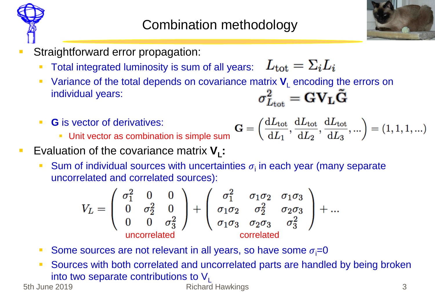



- Straightforward error propagation:
	- Total integrated luminosity is sum of all years:  $L_{\text{tot}} = \Sigma_i L_i$
	- Variance of the total depends on covariance matrix  $V_{L}$  encoding the errors on individual years:<br> $\sigma_{L \leftrightarrow L}^{2} = \mathbf{G} V_{L} \tilde{\mathbf{G}}$ individual years:
	- **G** is vector of derivatives:
		- **Unit vector as combination is simple sum**

$$
\mathbf{G} = \left(\frac{\mathrm{d}L_{\mathrm{tot}}}{\mathrm{d}L_1}, \frac{\mathrm{d}L_{\mathrm{tot}}}{\mathrm{d}L_2}, \frac{\mathrm{d}L_{\mathrm{tot}}}{\mathrm{d}L_3}, ...\right) = (1, 1, 1, ...)
$$

- **Exaluation of the covariance matrix**  $V_L$ **:** 
	- Sum of individual sources with uncertainties  $\sigma_i$  in each year (many separate uncorrelated and correlated sources):

$$
V_L = \begin{pmatrix} \sigma_1^2 & 0 & 0 \\ 0 & \sigma_2^2 & 0 \\ 0 & 0 & \sigma_3^2 \end{pmatrix} + \begin{pmatrix} \sigma_1^2 & \sigma_1 \sigma_2 & \sigma_1 \sigma_3 \\ \sigma_1 \sigma_2 & \sigma_2^2 & \sigma_2 \sigma_3 \\ \sigma_1 \sigma_3 & \sigma_2 \sigma_3 & \sigma_3^2 \end{pmatrix} + \dots
$$
  
\nuncorrelated  
\ncorrelated

- Some sources are not relevant in all years, so have some  $\sigma_i=0$
- Sources with both correlated and uncorrelated parts are handled by being broken **into two separate contributions to V<sub>L</sub>**<br>Richard

**Straighter 2019 Richard Hawkings 3**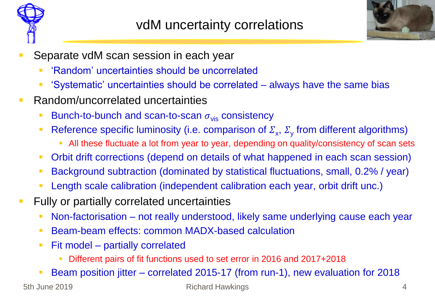



- Separate vdM scan session in each year
	- 'Random' uncertainties should be uncorrelated
	- 'Systematic' uncertainties should be correlated always have the same bias
- **Random/uncorrelated uncertainties** 
	- Bunch-to-bunch and scan-to-scan  $\sigma_{vis}$  consistency
	- Reference specific luminosity (i.e. comparison of  $\Sigma_x$ ,  $\Sigma_y$  from different algorithms)
		- All these fluctuate a lot from year to year, depending on quality/consistency of scan sets
	- Orbit drift corrections (depend on details of what happened in each scan session)
	- Background subtraction (dominated by statistical fluctuations, small, 0.2% / year)
	- Length scale calibration (independent calibration each year, orbit drift unc.)
- **Fully or partially correlated uncertainties** 
	- Non-factorisation not really understood, likely same underlying cause each year
	- Beam-beam effects: common MADX-based calculation
	- Fit model partially correlated
		- Different pairs of fit functions used to set error in 2016 and 2017+2018
	- Beam position jitter correlated 2015-17 (from run-1), new evaluation for 2018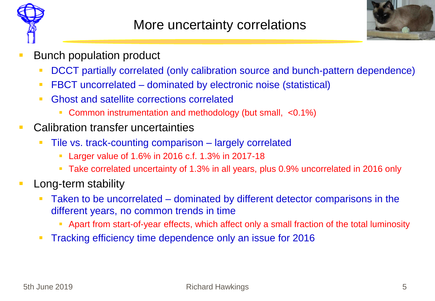



- Bunch population product
	- DCCT partially correlated (only calibration source and bunch-pattern dependence)
	- FBCT uncorrelated dominated by electronic noise (statistical)
	- **Ghost and satellite corrections correlated** 
		- Common instrumentation and methodology (but small, <0.1%)
- **E.** Calibration transfer uncertainties
	- Tile vs. track-counting comparison largely correlated
		- **Larger value of 1.6% in 2016 c.f. 1.3% in 2017-18**
		- Take correlated uncertainty of 1.3% in all years, plus 0.9% uncorrelated in 2016 only
- **Long-term stability** 
	- Taken to be uncorrelated dominated by different detector comparisons in the different years, no common trends in time
		- Apart from start-of-year effects, which affect only a small fraction of the total luminosity
	- **Tracking efficiency time dependence only an issue for 2016**